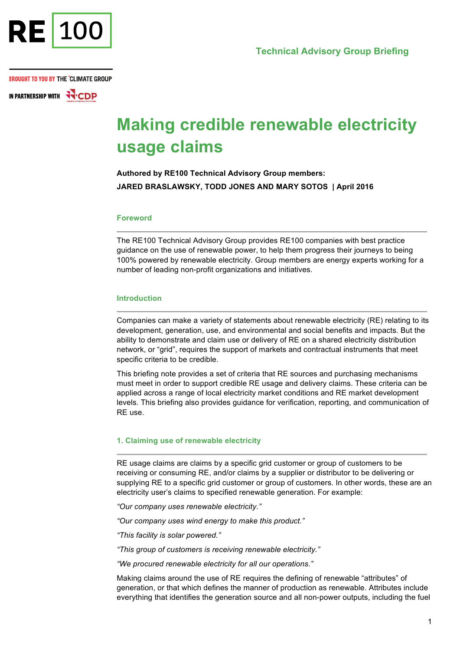

IN PARTNERSHIP WITH **NO CDP** 

# **Making credible renewable electricity usage claims**

**Authored by RE100 Technical Advisory Group members: JARED BRASLAWSKY, TODD JONES AND MARY SOTOS | April 2016**

#### **Foreword**

The RE100 Technical Advisory Group provides RE100 companies with best practice guidance on the use of renewable power, to help them progress their journeys to being 100% powered by renewable electricity. Group members are energy experts working for a number of leading non-profit organizations and initiatives.

#### **Introduction**

Companies can make a variety of statements about renewable electricity (RE) relating to its development, generation, use, and environmental and social benefits and impacts. But the ability to demonstrate and claim use or delivery of RE on a shared electricity distribution network, or "grid", requires the support of markets and contractual instruments that meet specific criteria to be credible.

This briefing note provides a set of criteria that RE sources and purchasing mechanisms must meet in order to support credible RE usage and delivery claims. These criteria can be applied across a range of local electricity market conditions and RE market development levels. This briefing also provides guidance for verification, reporting, and communication of RE use.

#### **1. Claiming use of renewable electricity**

RE usage claims are claims by a specific grid customer or group of customers to be receiving or consuming RE, and/or claims by a supplier or distributor to be delivering or supplying RE to a specific grid customer or group of customers. In other words, these are an electricity user's claims to specified renewable generation. For example:

*"Our company uses renewable electricity."*

*"Our company uses wind energy to make this product."*

*"This facility is solar powered."*

*"This group of customers is receiving renewable electricity."*

*"We procured renewable electricity for all our operations."*

Making claims around the use of RE requires the defining of renewable "attributes" of generation, or that which defines the manner of production as renewable. Attributes include everything that identifies the generation source and all non-power outputs, including the fuel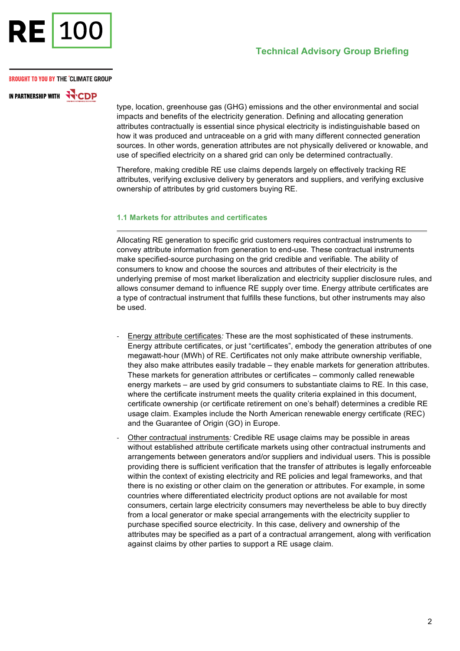

IN PARTNERSHIP WITH **WITH** 

type, location, greenhouse gas (GHG) emissions and the other environmental and social impacts and benefits of the electricity generation. Defining and allocating generation attributes contractually is essential since physical electricity is indistinguishable based on how it was produced and untraceable on a grid with many different connected generation sources. In other words, generation attributes are not physically delivered or knowable, and use of specified electricity on a shared grid can only be determined contractually.

Therefore, making credible RE use claims depends largely on effectively tracking RE attributes, verifying exclusive delivery by generators and suppliers, and verifying exclusive ownership of attributes by grid customers buying RE.

# **1.1 Markets for attributes and certificates**

Allocating RE generation to specific grid customers requires contractual instruments to convey attribute information from generation to end-use. These contractual instruments make specified-source purchasing on the grid credible and verifiable. The ability of consumers to know and choose the sources and attributes of their electricity is the underlying premise of most market liberalization and electricity supplier disclosure rules, and allows consumer demand to influence RE supply over time. Energy attribute certificates are a type of contractual instrument that fulfills these functions, but other instruments may also be used.

- Energy attribute certificates*:* These are the most sophisticated of these instruments. Energy attribute certificates, or just "certificates", embody the generation attributes of one megawatt-hour (MWh) of RE. Certificates not only make attribute ownership verifiable, they also make attributes easily tradable – they enable markets for generation attributes. These markets for generation attributes or certificates – commonly called renewable energy markets – are used by grid consumers to substantiate claims to RE. In this case, where the certificate instrument meets the quality criteria explained in this document, certificate ownership (or certificate retirement on one's behalf) determines a credible RE usage claim. Examples include the North American renewable energy certificate (REC) and the Guarantee of Origin (GO) in Europe.
- Other contractual instruments*:* Credible RE usage claims may be possible in areas without established attribute certificate markets using other contractual instruments and arrangements between generators and/or suppliers and individual users. This is possible providing there is sufficient verification that the transfer of attributes is legally enforceable within the context of existing electricity and RE policies and legal frameworks, and that there is no existing or other claim on the generation or attributes. For example, in some countries where differentiated electricity product options are not available for most consumers, certain large electricity consumers may nevertheless be able to buy directly from a local generator or make special arrangements with the electricity supplier to purchase specified source electricity. In this case, delivery and ownership of the attributes may be specified as a part of a contractual arrangement, along with verification against claims by other parties to support a RE usage claim.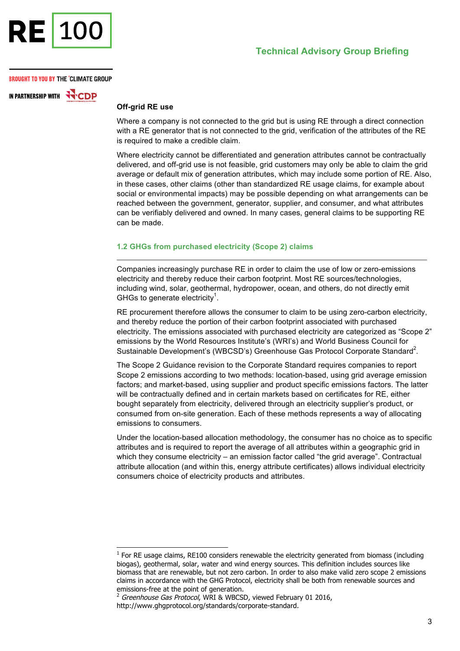

IN PARTNERSHIP WITH HCDP

# **Off-grid RE use**

Where a company is not connected to the grid but is using RE through a direct connection with a RE generator that is not connected to the grid, verification of the attributes of the RE is required to make a credible claim.

Where electricity cannot be differentiated and generation attributes cannot be contractually delivered, and off-grid use is not feasible, grid customers may only be able to claim the grid average or default mix of generation attributes, which may include some portion of RE. Also, in these cases, other claims (other than standardized RE usage claims, for example about social or environmental impacts) may be possible depending on what arrangements can be reached between the government, generator, supplier, and consumer, and what attributes can be verifiably delivered and owned. In many cases, general claims to be supporting RE can be made.

# **1.2 GHGs from purchased electricity (Scope 2) claims**

Companies increasingly purchase RE in order to claim the use of low or zero-emissions electricity and thereby reduce their carbon footprint. Most RE sources/technologies, including wind, solar, geothermal, hydropower, ocean, and others, do not directly emit GHGs to generate electricity<sup>1</sup>.

RE procurement therefore allows the consumer to claim to be using zero-carbon electricity, and thereby reduce the portion of their carbon footprint associated with purchased electricity. The emissions associated with purchased electricity are categorized as "Scope 2" emissions by the World Resources Institute's (WRI's) and World Business Council for Sustainable Development's (WBCSD's) Greenhouse Gas Protocol Corporate Standard<sup>2</sup>.

The Scope 2 Guidance revision to the Corporate Standard requires companies to report Scope 2 emissions according to two methods: location-based, using grid average emission factors; and market-based, using supplier and product specific emissions factors. The latter will be contractually defined and in certain markets based on certificates for RE, either bought separately from electricity, delivered through an electricity supplier's product, or consumed from on-site generation. Each of these methods represents a way of allocating emissions to consumers.

Under the location-based allocation methodology, the consumer has no choice as to specific attributes and is required to report the average of all attributes within a geographic grid in which they consume electricity – an emission factor called "the grid average". Contractual attribute allocation (and within this, energy attribute certificates) allows individual electricity consumers choice of electricity products and attributes.

<sup>1</sup>  $1$  For RE usage claims, RE100 considers renewable the electricity generated from biomass (including biogas), geothermal, solar, water and wind energy sources. This definition includes sources like biomass that are renewable, but not zero carbon. In order to also make valid zero scope 2 emissions claims in accordance with the GHG Protocol, electricity shall be both from renewable sources and emissions-free at the point of generation.

<sup>2</sup> Greenhouse Gas Protocol, WRI & WBCSD, viewed February 01 2016,

http://www.ghgprotocol.org/standards/corporate-standard.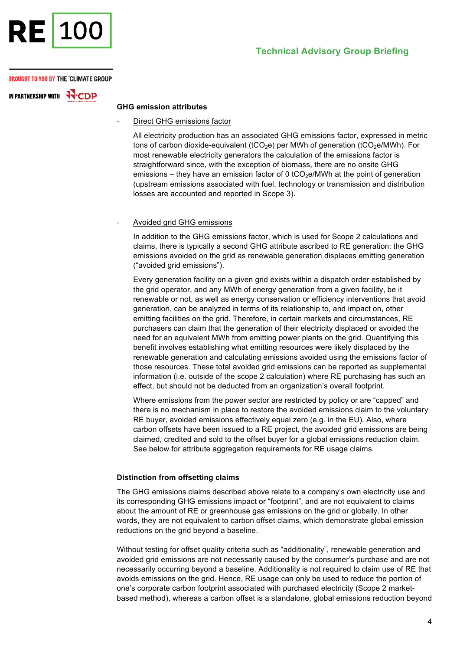

# **Technical Advisory Group Briefing**

#### **BROUGHT TO YOU BY THE °CLIMATE GROUP**

IN PARTNERSHIP WITH **NO CDP** 

# **GHG emission attributes**

Direct GHG emissions factor

All electricity production has an associated GHG emissions factor, expressed in metric tons of carbon dioxide-equivalent (tCO<sub>2</sub>e) per MWh of generation (tCO<sub>2</sub>e/MWh). For most renewable electricity generators the calculation of the emissions factor is straightforward since, with the exception of biomass, there are no onsite GHG emissions – they have an emission factor of 0 tCO<sub>2</sub>e/MWh at the point of generation (upstream emissions associated with fuel, technology or transmission and distribution losses are accounted and reported in Scope 3).

#### - Avoided grid GHG emissions

In addition to the GHG emissions factor, which is used for Scope 2 calculations and claims, there is typically a second GHG attribute ascribed to RE generation: the GHG emissions avoided on the grid as renewable generation displaces emitting generation ("avoided grid emissions").

Every generation facility on a given grid exists within a dispatch order established by the grid operator, and any MWh of energy generation from a given facility, be it renewable or not, as well as energy conservation or efficiency interventions that avoid generation, can be analyzed in terms of its relationship to, and impact on, other emitting facilities on the grid. Therefore, in certain markets and circumstances, RE purchasers can claim that the generation of their electricity displaced or avoided the need for an equivalent MWh from emitting power plants on the grid. Quantifying this benefit involves establishing what emitting resources were likely displaced by the renewable generation and calculating emissions avoided using the emissions factor of those resources. These total avoided grid emissions can be reported as supplemental information (i.e. outside of the scope 2 calculation) where RE purchasing has such an effect, but should not be deducted from an organization's overall footprint.

Where emissions from the power sector are restricted by policy or are "capped" and there is no mechanism in place to restore the avoided emissions claim to the voluntary RE buyer, avoided emissions effectively equal zero (e.g. in the EU). Also, where carbon offsets have been issued to a RE project, the avoided grid emissions are being claimed, credited and sold to the offset buyer for a global emissions reduction claim. See below for attribute aggregation requirements for RE usage claims.

#### **Distinction from offsetting claims**

The GHG emissions claims described above relate to a company's own electricity use and its corresponding GHG emissions impact or "footprint", and are not equivalent to claims about the amount of RE or greenhouse gas emissions on the grid or globally. In other words, they are not equivalent to carbon offset claims, which demonstrate global emission reductions on the grid beyond a baseline.

Without testing for offset quality criteria such as "additionality", renewable generation and avoided grid emissions are not necessarily caused by the consumer's purchase and are not necessarily occurring beyond a baseline. Additionality is not required to claim use of RE that avoids emissions on the grid. Hence, RE usage can only be used to reduce the portion of one's corporate carbon footprint associated with purchased electricity (Scope 2 marketbased method), whereas a carbon offset is a standalone, global emissions reduction beyond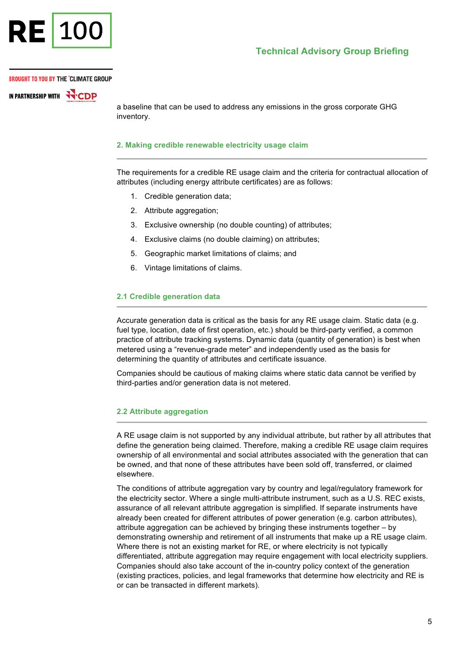

IN PARTNERSHIP WITH **WITH** 

a baseline that can be used to address any emissions in the gross corporate GHG inventory.

#### **2. Making credible renewable electricity usage claim**

The requirements for a credible RE usage claim and the criteria for contractual allocation of attributes (including energy attribute certificates) are as follows:

- 1. Credible generation data;
- 2. Attribute aggregation;
- 3. Exclusive ownership (no double counting) of attributes;
- 4. Exclusive claims (no double claiming) on attributes;
- 5. Geographic market limitations of claims; and
- 6. Vintage limitations of claims.

#### **2.1 Credible generation data**

Accurate generation data is critical as the basis for any RE usage claim. Static data (e.g. fuel type, location, date of first operation, etc.) should be third-party verified, a common practice of attribute tracking systems. Dynamic data (quantity of generation) is best when metered using a "revenue-grade meter" and independently used as the basis for determining the quantity of attributes and certificate issuance.

Companies should be cautious of making claims where static data cannot be verified by third-parties and/or generation data is not metered.

# **2.2 Attribute aggregation**

A RE usage claim is not supported by any individual attribute, but rather by all attributes that define the generation being claimed. Therefore, making a credible RE usage claim requires ownership of all environmental and social attributes associated with the generation that can be owned, and that none of these attributes have been sold off, transferred, or claimed elsewhere.

The conditions of attribute aggregation vary by country and legal/regulatory framework for the electricity sector. Where a single multi-attribute instrument, such as a U.S. REC exists, assurance of all relevant attribute aggregation is simplified. If separate instruments have already been created for different attributes of power generation (e.g. carbon attributes), attribute aggregation can be achieved by bringing these instruments together – by demonstrating ownership and retirement of all instruments that make up a RE usage claim. Where there is not an existing market for RE, or where electricity is not typically differentiated, attribute aggregation may require engagement with local electricity suppliers. Companies should also take account of the in-country policy context of the generation (existing practices, policies, and legal frameworks that determine how electricity and RE is or can be transacted in different markets).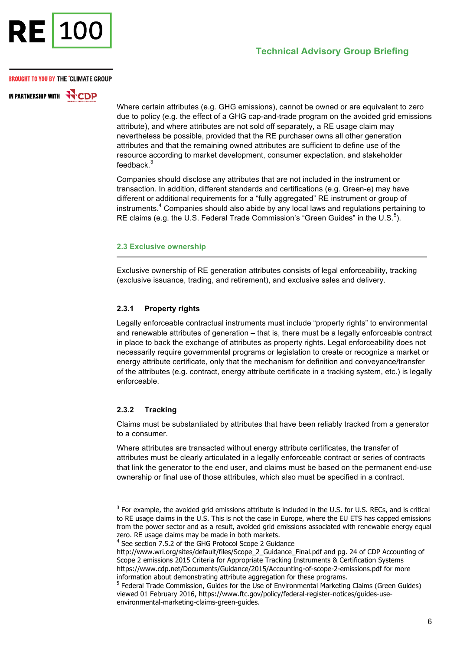

**IN PARTNERSHIP WITH NCDP** 

> Where certain attributes (e.g. GHG emissions), cannot be owned or are equivalent to zero due to policy (e.g. the effect of a GHG cap-and-trade program on the avoided grid emissions attribute), and where attributes are not sold off separately, a RE usage claim may nevertheless be possible, provided that the RE purchaser owns all other generation attributes and that the remaining owned attributes are sufficient to define use of the resource according to market development, consumer expectation, and stakeholder feedback.<sup>3</sup>

Companies should disclose any attributes that are not included in the instrument or transaction. In addition, different standards and certifications (e.g. Green-e) may have different or additional requirements for a "fully aggregated" RE instrument or group of instruments.<sup>4</sup> Companies should also abide by any local laws and regulations pertaining to RE claims (e.g. the U.S. Federal Trade Commission's "Green Guides" in the U.S. $5$ ).

#### **2.3 Exclusive ownership**

Exclusive ownership of RE generation attributes consists of legal enforceability, tracking (exclusive issuance, trading, and retirement), and exclusive sales and delivery.

# **2.3.1 Property rights**

Legally enforceable contractual instruments must include "property rights" to environmental and renewable attributes of generation – that is, there must be a legally enforceable contract in place to back the exchange of attributes as property rights. Legal enforceability does not necessarily require governmental programs or legislation to create or recognize a market or energy attribute certificate, only that the mechanism for definition and conveyance/transfer of the attributes (e.g. contract, energy attribute certificate in a tracking system, etc.) is legally enforceable.

#### **2.3.2 Tracking**

-

Claims must be substantiated by attributes that have been reliably tracked from a generator to a consumer.

Where attributes are transacted without energy attribute certificates, the transfer of attributes must be clearly articulated in a legally enforceable contract or series of contracts that link the generator to the end user, and claims must be based on the permanent end-use ownership or final use of those attributes, which also must be specified in a contract.

 $3$  For example, the avoided grid emissions attribute is included in the U.S. for U.S. RECs, and is critical to RE usage claims in the U.S. This is not the case in Europe, where the EU ETS has capped emissions from the power sector and as a result, avoided grid emissions associated with renewable energy equal zero. RE usage claims may be made in both markets.

<sup>&</sup>lt;sup>4</sup> See section 7.5.2 of the GHG Protocol Scope 2 Guidance

http://www.wri.org/sites/default/files/Scope\_2\_Guidance\_Final.pdf and pg. 24 of CDP Accounting of Scope 2 emissions 2015 Criteria for Appropriate Tracking Instruments & Certification Systems https://www.cdp.net/Documents/Guidance/2015/Accounting-of-scope-2-emissions.pdf for more information about demonstrating attribute aggregation for these programs.

<sup>&</sup>lt;sup>5</sup> Federal Trade Commission, Guides for the Use of Environmental Marketing Claims (Green Guides) viewed 01 February 2016, https://www.ftc.gov/policy/federal-register-notices/guides-useenvironmental-marketing-claims-green-guides.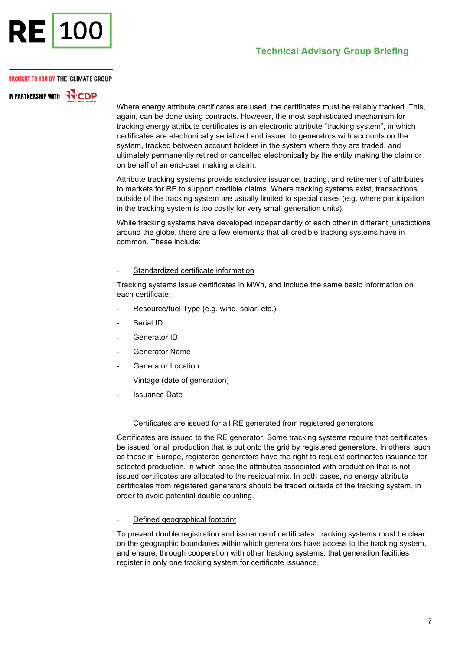

IN PARTNERSHIP WITH **WITH** 

Where energy attribute certificates are used, the certificates must be reliably tracked. This, again, can be done using contracts. However, the most sophisticated mechanism for tracking energy attribute certificates is an electronic attribute "tracking system", in which certificates are electronically serialized and issued to generators with accounts on the system, tracked between account holders in the system where they are traded, and ultimately permanently retired or cancelled electronically by the entity making the claim or on behalf of an end-user making a claim.

Attribute tracking systems provide exclusive issuance, trading, and retirement of attributes to markets for RE to support credible claims. Where tracking systems exist, transactions outside of the tracking system are usually limited to special cases (e.g. where participation in the tracking system is too costly for very small generation units).

While tracking systems have developed independently of each other in different jurisdictions around the globe, there are a few elements that all credible tracking systems have in common. These include:

Standardized certificate information

Tracking systems issue certificates in MWh, and include the same basic information on each certificate:

- Resource/fuel Type (e.g. wind, solar, etc.)
- Serial ID
- Generator ID
- Generator Name
- Generator Location
- Vintage (date of generation)
- Issuance Date
- Certificates are issued for all RE generated from registered generators

Certificates are issued to the RE generator. Some tracking systems require that certificates be issued for all production that is put onto the grid by registered generators. In others, such as those in Europe, registered generators have the right to request certificates issuance for selected production, in which case the attributes associated with production that is not issued certificates are allocated to the residual mix. In both cases, no energy attribute certificates from registered generators should be traded outside of the tracking system, in order to avoid potential double counting.

Defined geographical footprint

To prevent double registration and issuance of certificates, tracking systems must be clear on the geographic boundaries within which generators have access to the tracking system, and ensure, through cooperation with other tracking systems, that generation facilities register in only one tracking system for certificate issuance.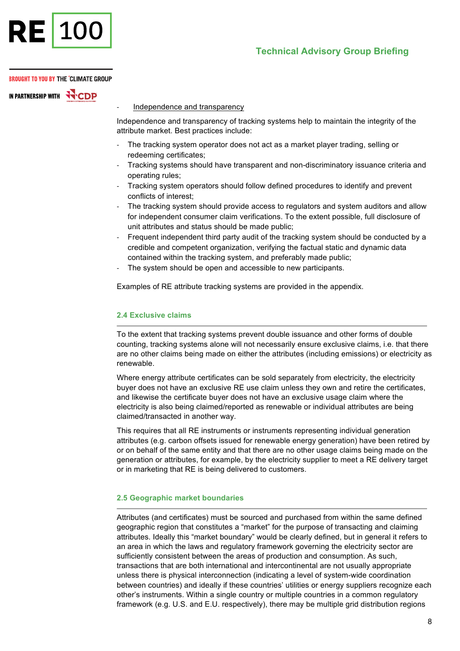

IN PARTNERSHIP WITH **WALLOW** 

Independence and transparency

Independence and transparency of tracking systems help to maintain the integrity of the attribute market. Best practices include:

- The tracking system operator does not act as a market player trading, selling or redeeming certificates;
- Tracking systems should have transparent and non-discriminatory issuance criteria and operating rules;
- Tracking system operators should follow defined procedures to identify and prevent conflicts of interest;
- The tracking system should provide access to regulators and system auditors and allow for independent consumer claim verifications. To the extent possible, full disclosure of unit attributes and status should be made public;
- Frequent independent third party audit of the tracking system should be conducted by a credible and competent organization, verifying the factual static and dynamic data contained within the tracking system, and preferably made public;
- The system should be open and accessible to new participants.

Examples of RE attribute tracking systems are provided in the appendix.

# **2.4 Exclusive claims**

To the extent that tracking systems prevent double issuance and other forms of double counting, tracking systems alone will not necessarily ensure exclusive claims, i.e. that there are no other claims being made on either the attributes (including emissions) or electricity as renewable.

Where energy attribute certificates can be sold separately from electricity, the electricity buyer does not have an exclusive RE use claim unless they own and retire the certificates, and likewise the certificate buyer does not have an exclusive usage claim where the electricity is also being claimed/reported as renewable or individual attributes are being claimed/transacted in another way.

This requires that all RE instruments or instruments representing individual generation attributes (e.g. carbon offsets issued for renewable energy generation) have been retired by or on behalf of the same entity and that there are no other usage claims being made on the generation or attributes, for example, by the electricity supplier to meet a RE delivery target or in marketing that RE is being delivered to customers.

#### **2.5 Geographic market boundaries**

Attributes (and certificates) must be sourced and purchased from within the same defined geographic region that constitutes a "market" for the purpose of transacting and claiming attributes. Ideally this "market boundary" would be clearly defined, but in general it refers to an area in which the laws and regulatory framework governing the electricity sector are sufficiently consistent between the areas of production and consumption. As such, transactions that are both international and intercontinental are not usually appropriate unless there is physical interconnection (indicating a level of system-wide coordination between countries) and ideally if these countries' utilities or energy suppliers recognize each other's instruments. Within a single country or multiple countries in a common regulatory framework (e.g. U.S. and E.U. respectively), there may be multiple grid distribution regions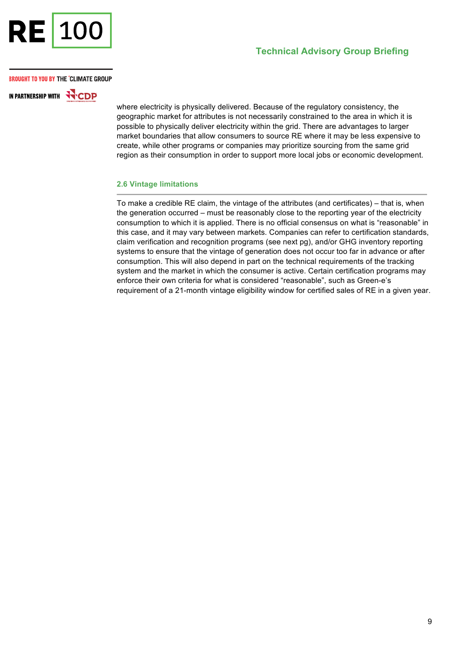

# **Technical Advisory Group Briefing**

#### **BROUGHT TO YOU BY THE °CLIMATE GROUP**

IN PARTNERSHIP WITH **HACDP** 

where electricity is physically delivered. Because of the regulatory consistency, the geographic market for attributes is not necessarily constrained to the area in which it is possible to physically deliver electricity within the grid. There are advantages to larger market boundaries that allow consumers to source RE where it may be less expensive to create, while other programs or companies may prioritize sourcing from the same grid region as their consumption in order to support more local jobs or economic development.

#### **2.6 Vintage limitations**

To make a credible RE claim, the vintage of the attributes (and certificates) – that is, when the generation occurred – must be reasonably close to the reporting year of the electricity consumption to which it is applied. There is no official consensus on what is "reasonable" in this case, and it may vary between markets. Companies can refer to certification standards, claim verification and recognition programs (see next pg), and/or GHG inventory reporting systems to ensure that the vintage of generation does not occur too far in advance or after consumption. This will also depend in part on the technical requirements of the tracking system and the market in which the consumer is active. Certain certification programs may enforce their own criteria for what is considered "reasonable", such as Green-e's requirement of a 21-month vintage eligibility window for certified sales of RE in a given year.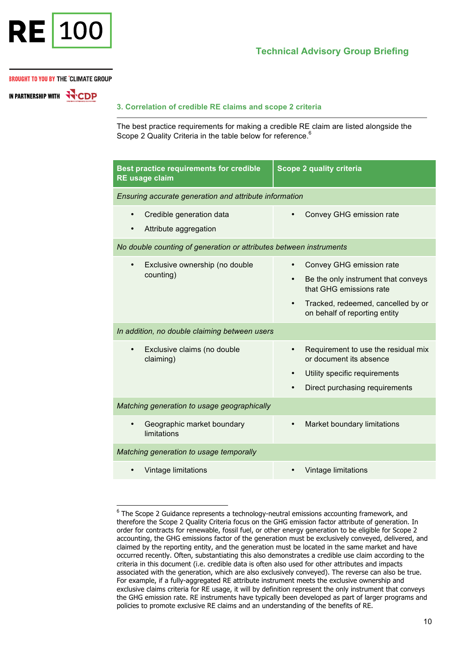

-

IN PARTNERSHIP WITH **WAY**CDP

#### **3. Correlation of credible RE claims and scope 2 criteria**

The best practice requirements for making a credible RE claim are listed alongside the Scope 2 Quality Criteria in the table below for reference.<sup>6</sup>

| <b>Best practice requirements for credible</b><br><b>RE</b> usage claim | <b>Scope 2 quality criteria</b>                                                  |
|-------------------------------------------------------------------------|----------------------------------------------------------------------------------|
| Ensuring accurate generation and attribute information                  |                                                                                  |
| Credible generation data<br>Attribute aggregation                       | Convey GHG emission rate                                                         |
| No double counting of generation or attributes between instruments      |                                                                                  |
| Exclusive ownership (no double<br>$\bullet$<br>counting)                | Convey GHG emission rate<br>$\bullet$                                            |
|                                                                         | Be the only instrument that conveys<br>$\bullet$<br>that GHG emissions rate      |
|                                                                         | Tracked, redeemed, cancelled by or<br>$\bullet$<br>on behalf of reporting entity |
| In addition, no double claiming between users                           |                                                                                  |
| Exclusive claims (no double<br>$\bullet$<br>claiming)                   | Requirement to use the residual mix<br>or document its absence                   |
|                                                                         | Utility specific requirements<br>$\bullet$                                       |
|                                                                         | Direct purchasing requirements                                                   |
| Matching generation to usage geographically                             |                                                                                  |
| Geographic market boundary<br>limitations                               | Market boundary limitations                                                      |
| Matching generation to usage temporally                                 |                                                                                  |
| Vintage limitations                                                     | Vintage limitations                                                              |

<sup>&</sup>lt;sup>6</sup> The Scope 2 Guidance represents a technology-neutral emissions accounting framework, and therefore the Scope 2 Quality Criteria focus on the GHG emission factor attribute of generation. In order for contracts for renewable, fossil fuel, or other energy generation to be eligible for Scope 2 accounting, the GHG emissions factor of the generation must be exclusively conveyed, delivered, and claimed by the reporting entity, and the generation must be located in the same market and have occurred recently. Often, substantiating this also demonstrates a credible use claim according to the criteria in this document (i.e. credible data is often also used for other attributes and impacts associated with the generation, which are also exclusively conveyed). The reverse can also be true. For example, if a fully-aggregated RE attribute instrument meets the exclusive ownership and exclusive claims criteria for RE usage, it will by definition represent the only instrument that conveys the GHG emission rate. RE instruments have typically been developed as part of larger programs and policies to promote exclusive RE claims and an understanding of the benefits of RE.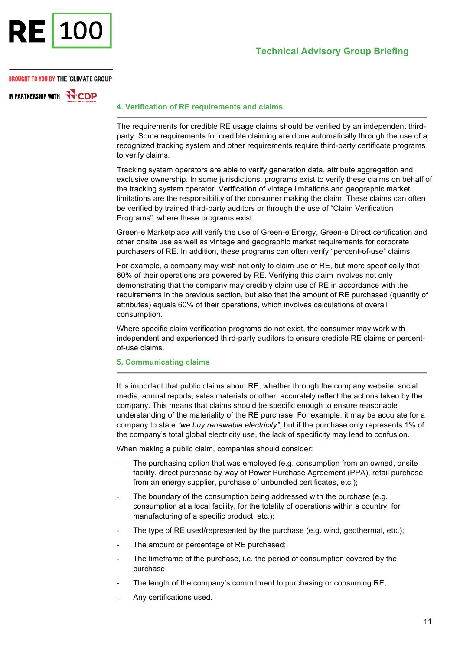

IN PARTNERSHIP WITH **FOOD** 

# **4. Verification of RE requirements and claims**

The requirements for credible RE usage claims should be verified by an independent thirdparty. Some requirements for credible claiming are done automatically through the use of a recognized tracking system and other requirements require third-party certificate programs to verify claims.

Tracking system operators are able to verify generation data, attribute aggregation and exclusive ownership. In some jurisdictions, programs exist to verify these claims on behalf of the tracking system operator. Verification of vintage limitations and geographic market limitations are the responsibility of the consumer making the claim. These claims can often be verified by trained third-party auditors or through the use of "Claim Verification Programs", where these programs exist.

Green-e Marketplace will verify the use of Green-e Energy, Green-e Direct certification and other onsite use as well as vintage and geographic market requirements for corporate purchasers of RE. In addition, these programs can often verify "percent-of-use" claims.

For example, a company may wish not only to claim use of RE, but more specifically that 60% of their operations are powered by RE. Verifying this claim involves not only demonstrating that the company may credibly claim use of RE in accordance with the requirements in the previous section, but also that the amount of RE purchased (quantity of attributes) equals 60% of their operations, which involves calculations of overall consumption.

Where specific claim verification programs do not exist, the consumer may work with independent and experienced third-party auditors to ensure credible RE claims or percentof-use claims.

# **5. Communicating claims**

It is important that public claims about RE, whether through the company website, social media, annual reports, sales materials or other, accurately reflect the actions taken by the company. This means that claims should be specific enough to ensure reasonable understanding of the materiality of the RE purchase. For example, it may be accurate for a company to state *"we buy renewable electricity"*, but if the purchase only represents 1% of the company's total global electricity use, the lack of specificity may lead to confusion.

When making a public claim, companies should consider:

- The purchasing option that was employed (e.g. consumption from an owned, onsite facility, direct purchase by way of Power Purchase Agreement (PPA), retail purchase from an energy supplier, purchase of unbundled certificates, etc.);
- The boundary of the consumption being addressed with the purchase (e.g. consumption at a local facility, for the totality of operations within a country, for manufacturing of a specific product, etc.);
- The type of RE used/represented by the purchase (e.g. wind, geothermal, etc.);
- The amount or percentage of RE purchased;
- The timeframe of the purchase, i.e. the period of consumption covered by the purchase;
- The length of the company's commitment to purchasing or consuming RE;
- Any certifications used.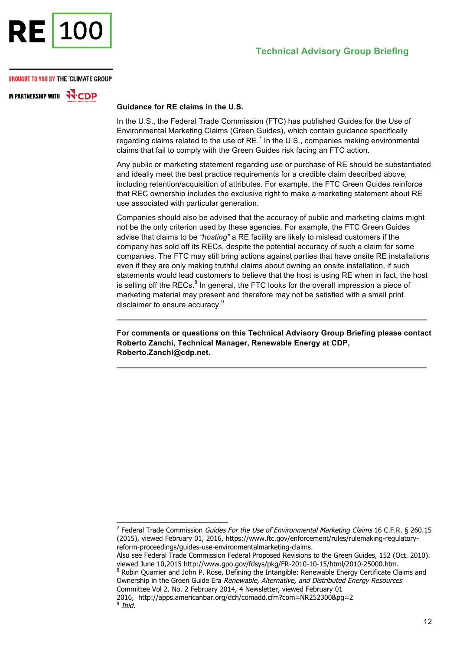

IN PARTNERSHIP WITH **WITH** 

# **Guidance for RE claims in the U.S.**

In the U.S., the Federal Trade Commission (FTC) has published Guides for the Use of Environmental Marketing Claims (Green Guides), which contain guidance specifically regarding claims related to the use of  $RE<sup>7</sup>$  In the U.S., companies making environmental claims that fail to comply with the Green Guides risk facing an FTC action.

Any public or marketing statement regarding use or purchase of RE should be substantiated and ideally meet the best practice requirements for a credible claim described above, including retention/acquisition of attributes. For example, the FTC Green Guides reinforce that REC ownership includes the exclusive right to make a marketing statement about RE use associated with particular generation.

Companies should also be advised that the accuracy of public and marketing claims might not be the only criterion used by these agencies. For example, the FTC Green Guides advise that claims to be *"hosting"* a RE facility are likely to mislead customers if the company has sold off its RECs, despite the potential accuracy of such a claim for some companies. The FTC may still bring actions against parties that have onsite RE installations even if they are only making truthful claims about owning an onsite installation, if such statements would lead customers to believe that the host is using RE when in fact, the host is selling off the RECs. $<sup>8</sup>$  In general, the FTC looks for the overall impression a piece of</sup> marketing material may present and therefore may not be satisfied with a small print disclaimer to ensure accuracy.<sup>9</sup>

**For comments or questions on this Technical Advisory Group Briefing please contact Roberto Zanchi, Technical Manager, Renewable Energy at CDP, Roberto.Zanchi@cdp.net.**

1

 $7$  Federal Trade Commission Guides For the Use of Environmental Marketing Claims 16 C.F.R. § 260.15 (2015), viewed February 01, 2016, https://www.ftc.gov/enforcement/rules/rulemaking-regulatoryreform-proceedings/guides-use-environmentalmarketing-claims.

Also see Federal Trade Commission Federal Proposed Revisions to the Green Guides, 152 (Oct. 2010). viewed June 10,2015 http://www.gpo.gov/fdsys/pkg/FR-2010-10-15/html/2010-25000.htm.

<sup>8</sup> Robin Quarrier and John P. Rose, Defining the Intangible: Renewable Energy Certificate Claims and Ownership in the Green Guide Era Renewable, Alternative, and Distributed Energy Resources Committee Vol 2. No. 2 February 2014, 4 Newsletter, viewed February 01

<sup>2016,</sup> http://apps.americanbar.org/dch/comadd.cfm?com=NR252300&pg=2  $9$  Ibid.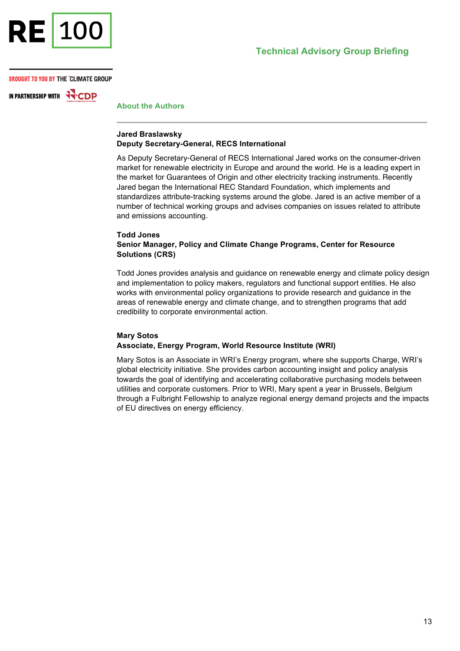

IN PARTNERSHIP WITH **WALK** 

**About the Authors**

#### **Jared Braslawsky Deputy Secretary-General, RECS International**

As Deputy Secretary-General of RECS International Jared works on the consumer-driven market for renewable electricity in Europe and around the world. He is a leading expert in the market for Guarantees of Origin and other electricity tracking instruments. Recently Jared began the International REC Standard Foundation, which implements and standardizes attribute-tracking systems around the globe. Jared is an active member of a number of technical working groups and advises companies on issues related to attribute and emissions accounting.

#### **Todd Jones**

# **Senior Manager, Policy and Climate Change Programs, Center for Resource Solutions (CRS)**

Todd Jones provides analysis and guidance on renewable energy and climate policy design and implementation to policy makers, regulators and functional support entities. He also works with environmental policy organizations to provide research and guidance in the areas of renewable energy and climate change, and to strengthen programs that add credibility to corporate environmental action.

#### **Mary Sotos Associate, Energy Program, World Resource Institute (WRI)**

Mary Sotos is an Associate in WRI's Energy program, where she supports Charge, WRI's global electricity initiative. She provides carbon accounting insight and policy analysis towards the goal of identifying and accelerating collaborative purchasing models between utilities and corporate customers. Prior to WRI, Mary spent a year in Brussels, Belgium through a Fulbright Fellowship to analyze regional energy demand projects and the impacts of EU directives on energy efficiency.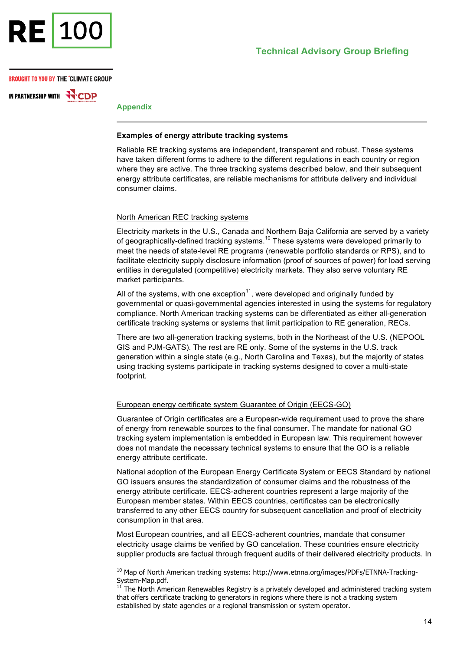

IN PARTNERSHIP WITH HCDP

**Appendix**

-

#### **Examples of energy attribute tracking systems**

Reliable RE tracking systems are independent, transparent and robust. These systems have taken different forms to adhere to the different regulations in each country or region where they are active. The three tracking systems described below, and their subsequent energy attribute certificates, are reliable mechanisms for attribute delivery and individual consumer claims.

#### North American REC tracking systems

Electricity markets in the U.S., Canada and Northern Baja California are served by a variety of geographically-defined tracking systems.<sup>10</sup> These systems were developed primarily to meet the needs of state-level RE programs (renewable portfolio standards or RPS), and to facilitate electricity supply disclosure information (proof of sources of power) for load serving entities in deregulated (competitive) electricity markets. They also serve voluntary RE market participants.

All of the systems, with one exception<sup>11</sup>, were developed and originally funded by governmental or quasi-governmental agencies interested in using the systems for regulatory compliance. North American tracking systems can be differentiated as either all-generation certificate tracking systems or systems that limit participation to RE generation, RECs.

There are two all-generation tracking systems, both in the Northeast of the U.S. (NEPOOL GIS and PJM-GATS). The rest are RE only. Some of the systems in the U.S. track generation within a single state (e.g., North Carolina and Texas), but the majority of states using tracking systems participate in tracking systems designed to cover a multi-state footprint.

# European energy certificate system Guarantee of Origin (EECS-GO)

Guarantee of Origin certificates are a European-wide requirement used to prove the share of energy from renewable sources to the final consumer. The mandate for national GO tracking system implementation is embedded in European law. This requirement however does not mandate the necessary technical systems to ensure that the GO is a reliable energy attribute certificate.

National adoption of the European Energy Certificate System or EECS Standard by national GO issuers ensures the standardization of consumer claims and the robustness of the energy attribute certificate. EECS-adherent countries represent a large majority of the European member states. Within EECS countries, certificates can be electronically transferred to any other EECS country for subsequent cancellation and proof of electricity consumption in that area.

Most European countries, and all EECS-adherent countries, mandate that consumer electricity usage claims be verified by GO cancelation. These countries ensure electricity supplier products are factual through frequent audits of their delivered electricity products. In

 $^{10}$  Map of North American tracking systems: http://www.etnna.org/images/PDFs/ETNNA-Tracking-

System-Map.pdf.<br><sup>11</sup> The North American Renewables Registry is a privately developed and administered tracking system that offers certificate tracking to generators in regions where there is not a tracking system established by state agencies or a regional transmission or system operator.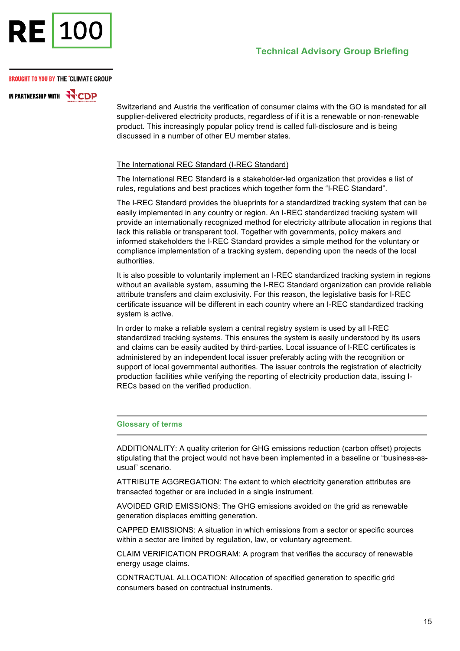

IN PARTNERSHIP WITH **FOOD** 

Switzerland and Austria the verification of consumer claims with the GO is mandated for all supplier-delivered electricity products, regardless of if it is a renewable or non-renewable product. This increasingly popular policy trend is called full-disclosure and is being discussed in a number of other EU member states.

# The International REC Standard (I-REC Standard)

The International REC Standard is a stakeholder-led organization that provides a list of rules, regulations and best practices which together form the "I-REC Standard".

The I-REC Standard provides the blueprints for a standardized tracking system that can be easily implemented in any country or region. An I-REC standardized tracking system will provide an internationally recognized method for electricity attribute allocation in regions that lack this reliable or transparent tool. Together with governments, policy makers and informed stakeholders the I-REC Standard provides a simple method for the voluntary or compliance implementation of a tracking system, depending upon the needs of the local authorities.

It is also possible to voluntarily implement an I-REC standardized tracking system in regions without an available system, assuming the I-REC Standard organization can provide reliable attribute transfers and claim exclusivity. For this reason, the legislative basis for I-REC certificate issuance will be different in each country where an I-REC standardized tracking system is active.

In order to make a reliable system a central registry system is used by all I-REC standardized tracking systems. This ensures the system is easily understood by its users and claims can be easily audited by third-parties. Local issuance of I-REC certificates is administered by an independent local issuer preferably acting with the recognition or support of local governmental authorities. The issuer controls the registration of electricity production facilities while verifying the reporting of electricity production data, issuing I-RECs based on the verified production.

#### **Glossary of terms**

ADDITIONALITY: A quality criterion for GHG emissions reduction (carbon offset) projects stipulating that the project would not have been implemented in a baseline or "business-asusual" scenario.

ATTRIBUTE AGGREGATION: The extent to which electricity generation attributes are transacted together or are included in a single instrument.

AVOIDED GRID EMISSIONS: The GHG emissions avoided on the grid as renewable generation displaces emitting generation.

CAPPED EMISSIONS: A situation in which emissions from a sector or specific sources within a sector are limited by regulation, law, or voluntary agreement.

CLAIM VERIFICATION PROGRAM: A program that verifies the accuracy of renewable energy usage claims.

CONTRACTUAL ALLOCATION: Allocation of specified generation to specific grid consumers based on contractual instruments.